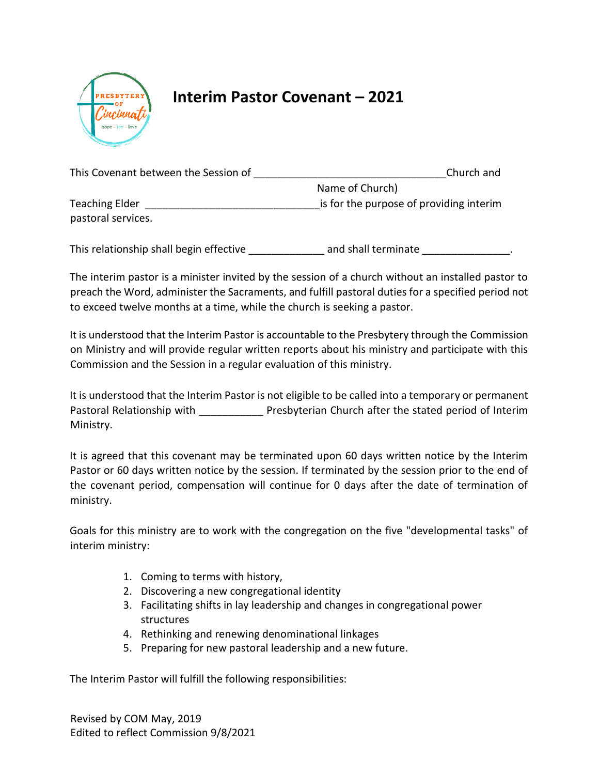

## **Interim Pastor Covenant – 2021**

| This Covenant between the Session of | Church and                              |  |
|--------------------------------------|-----------------------------------------|--|
|                                      | Name of Church)                         |  |
| <b>Teaching Elder</b>                | is for the purpose of providing interim |  |
| pastoral services.                   |                                         |  |
|                                      |                                         |  |

This relationship shall begin effective \_\_\_\_\_\_\_\_\_\_\_\_\_\_\_ and shall terminate \_\_\_\_\_\_\_\_\_\_\_\_\_\_\_\_.

The interim pastor is a minister invited by the session of a church without an installed pastor to preach the Word, administer the Sacraments, and fulfill pastoral duties for a specified period not to exceed twelve months at a time, while the church is seeking a pastor.

It is understood that the Interim Pastor is accountable to the Presbytery through the Commission on Ministry and will provide regular written reports about his ministry and participate with this Commission and the Session in a regular evaluation of this ministry.

It is understood that the Interim Pastor is not eligible to be called into a temporary or permanent Pastoral Relationship with **Presbyterian Church after the stated period of Interim** Ministry.

It is agreed that this covenant may be terminated upon 60 days written notice by the Interim Pastor or 60 days written notice by the session. If terminated by the session prior to the end of the covenant period, compensation will continue for 0 days after the date of termination of ministry.

Goals for this ministry are to work with the congregation on the five "developmental tasks" of interim ministry:

- 1. Coming to terms with history,
- 2. Discovering a new congregational identity
- 3. Facilitating shifts in lay leadership and changes in congregational power structures
- 4. Rethinking and renewing denominational linkages
- 5. Preparing for new pastoral leadership and a new future.

The Interim Pastor will fulfill the following responsibilities:

Revised by COM May, 2019 Edited to reflect Commission 9/8/2021